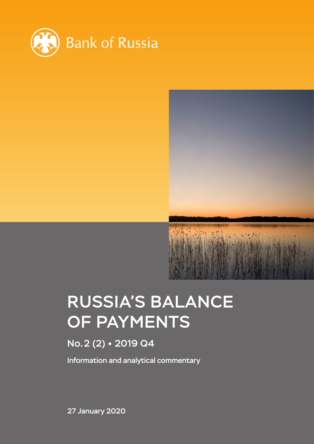



# RUSSIA'S BALANCE OF PAYMENTS

# No.2 (2) 2019 Q4

Information and analytical commentary

27 January 2020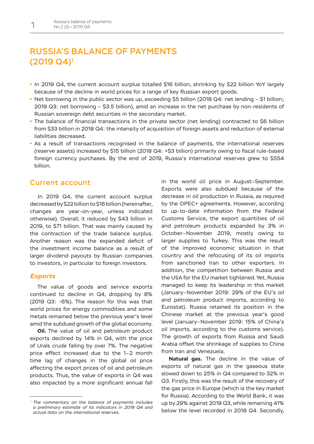## RUSSIA'S BALANCE OF PAYMENTS (2019 Q4)1

- In 2019 Q4, the current account surplus totalled \$16 billion, shrinking by \$22 billion YoY largely because of the decline in world prices for a range of key Russian export goods.
- Net borrowing in the public sector was up, exceeding \$5 billion (2018 Q4: net lending \$1 billion; 2019 Q3: net borrowing – \$3.5 billion), amid an increase in the net purchase by non-residents of Russian sovereign debt securities in the secondary market.
- The balance of financial transactions in the private sector (net lending) contracted to \$6 billion from \$33 billion in 2018 Q4: the intensity of acquisition of foreign assets and reduction of external liabilities decreased.
- As a result of transactions recognised in the balance of payments, the international reserves (reserve assets) increased by \$15 billion (2018 Q4: +\$3 billion) primarily owing to fiscal rule-based foreign currency purchases. By the end of 2019, Russia's international reserves grew to \$554 billion.

#### Current account

In 2019 Q4, the current account surplus decreased by \$22 billion to \$16 billion (hereinafter, changes are year-on-year, unless indicated otherwise). Overall, it reduced by \$43 billion in 2019, to \$71 billion. That was mainly caused by the contraction of the trade balance surplus. Another reason was the expanded deficit of the investment income balance as a result of larger dividend payouts by Russian companies to investors, in particular to foreign investors.

#### *Exports*

The value of goods and service exports continued to decline in Q4, dropping by 8% (2019 Q3: -6%). The reason for this was that world prices for energy commodities and some metals remained below the previous year's level amid the subdued growth of the global economy.

**Oil.** The value of oil and petroleum product exports declined by 14% in Q4, with the price of Urals crude falling by over 7%. The negative price effect increased due to the 1–2 month time lag of changes in the global oil price affecting the export prices of oil and petroleum products. Thus, the value of exports in Q4 was also impacted by a more significant annual fall

in the world oil price in August–September. Exports were also subdued because of the decrease in oil production in Russia, as required by the OPEC+ agreements. However, according to up-to-date information from the Federal Customs Service, the export quantities of oil and petroleum products expanded by 3% in October–November 2019, mostly owing to larger supplies to Turkey. This was the result of the improved economic situation in that country and the refocusing of its oil imports from sanctioned Iran to other exporters. In addition, the competition between Russia and the USA for the EU market tightened. Yet, Russia managed to keep its leadership in this market (January–November 2019: 29% of the EU's oil and petroleum product imports, according to Eurostat). Russia retained its position in the Chinese market at the previous year's good level (January–November 2019: 15% of China's oil imports, according to the customs service). The growth of exports from Russia and Saudi Arabia offset the shrinkage of supplies to China from Iran and Venezuela.

**Natural gas.** The decline in the value of exports of natural gas in the gaseous state slowed down to 25% in Q4 compared to 32% in Q3. Firstly, this was the result of the recovery of the gas price in Europe (which is the key market for Russia). According to the World Bank, it was up by 29% against 2019 Q3, while remaining 41% below the level recorded in 2018 Q4. Secondly,

*<sup>1</sup> The commentary on the balance of payments includes a preliminary estimate of its indicators in 2019 Q4 and actual data on the international reserves.*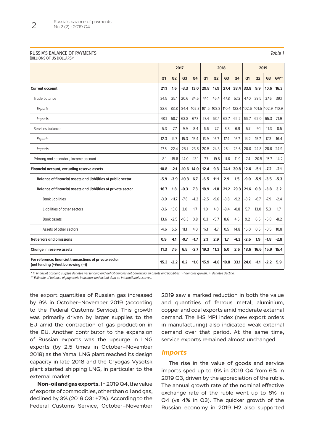#### RUSSIA'S BALANCE OF PAYMENTS (BILLIONS OF US DOLLARS)\*

| ۰. |  |
|----|--|
|----|--|

**2017 2018 2019 Q1 Q2 Q3 Q4 Q1 Q2 Q3 Q4 Q1 Q2 Q3 Q4\*\* Current account 21.1 1.6 -3.3 13.0 29.8 17.9 27.4 38.4 33.8 9.9 10.6 16.3** Trade balance 34.5 25.1 20.6 34.6 44.1 45.4 47.8 57.2 47.0 39.5 37.6 39.1 *Exports* 82.6 83.8 84.4 102.3 101.5 108.8 110.4 122.4 102.6 101.5 102.9 110.9 *Imports* 48.1 58.7 63.8 67.7 57.4 63.4 62.7 65.2 55.7 62.0 65.3 71.9 8.5 - 11.3 -11.3 -8.5 - 11.3 -8.5 -1.7 -9.9 -8.4 -6.6 -7.7 -8.8 -6.9 -5.7 -9.9 -11.3 -8.5 -1.7 -9.9 -8.4 -6.6 -7.7 -8.8 -6.9 -5.7 -9.1 -11.3 -8.5 *Exports* 12.3 14.7 15.3 15.4 13.9 16.7 17.4 16.7 14.2 15.7 17.3 16.4 *Imports* 17.5 22.4 25.1 23.8 20.5 24.3 26.1 23.6 20.0 24.8 28.6 24.9 Primary and secondary income account -8.1 -15.8 -14.0 -13.1 -15.8 -14.0 -13.1 -17.7 -19.8 -11.6 -11.9 -7.4 -20.5 -15.7 -14.2 **Financial account, excluding reserve assets 10.8 -2.1 -10.6 14.0 12.4 9.3 24.1 30.8 12.6 -5.1 -7.2 -2.1 Balance of financial assets and liabilities of public sector -5.9 -3.9 -10.3 6.7 -6.5 11.1 2.9 1.5 -9.0 -5.9 -3.5 -5.3 Balance of financial assets and liabilities of private sector 16.7 1.8 -0.3 7.3 18.9 -1.8 21.2 29.3 21.6 0.8 -3.8 3.2** 80- | 5.8 | 5.2 | 5.2 | 5.3 | 5.2 | 5.3 | 5.2 | 5.2 | 5.2 | 5.2 | 5.2 | 5.3 | 5.2 | 5.2 | 5.2 | 5.2 | 5.2 | 5. Liabilities of other sectors -3.6 | 13.0 | 3.0 | 3.0 | 1.7 | 1.0 | 4.0 | -8.4 | -0.8 | 5.7 | 13.0 | 5.3 | 1.7 80nk assets 13.6 | -2.5 | -16.3 | 0.8 | 0.3 | -5.7 | 8.6 | -4.5 | -2.5 | -16.3 | -5.7 | -8.2 | -8.2 | -8.2 | -Assets of other sectors  $-4.6$  5.5  $111$  4.0  $171$  -1.7  $0.5$  1.48  $15.0$  0.6  $-0.5$  1.0.8 **Net errors and omissions 0.9 4.1 -0.7 -1.7 2.1 2.9 1.7 -4.3 -2.6 1.9 -1.8 -2.8 Change in reserve assets 11.3 7.5 6.5 -2.7 19.3 11.3 5.0 2.6 18.6 16.6 15.9 15.4 For reference: financial transactions of private sector (net lending (+)/net borrowing (–)) 15.3 -2.2 0.2 11.0 15.9 -4.8 18.8 33.1 24.0 -1.1 -2.2 5.9**

\* In financial account, surplus denotes net lending and deficit denotes net borrowing. In assets and liabilities, '+' denotes growth, '-' denotes decline.

\*\* Estimate of balance of payments indicators and actual data on international reserves.

the export quantities of Russian gas increased by 9% in October–November 2019 (according to the Federal Customs Service). This growth was primarily driven by larger supplies to the EU amid the contraction of gas production in the EU. Another contributor to the expansion of Russian exports was the upsurge in LNG exports (by 2.5 times in October–November 2019) as the Yamal LNG plant reached its design capacity in late 2018 and the Cryogas-Vysotsk plant started shipping LNG, in particular to the external market.

**Non-oil and gas exports.** In 2019 Q4, the value of exports of commodities, other than oil and gas, declined by 3% (2019 Q3: +7%). According to the Federal Customs Service, October–November 2019 saw a marked reduction in both the value and quantities of ferrous metal, aluminium, copper and coal exports amid moderate external demand. The IHS MPI index (new export orders in manufacturing) also indicated weak external demand over that period. At the same time, service exports remained almost unchanged.

#### *Imports*

The rise in the value of goods and service imports sped up to 9% in 2019 Q4 from 6% in 2019 Q3, driven by the appreciation of the ruble. The annual growth rate of the nominal effective exchange rate of the ruble went up to 6% in Q4 (vs 4% in Q3). The quicker growth of the Russian economy in 2019 H2 also supported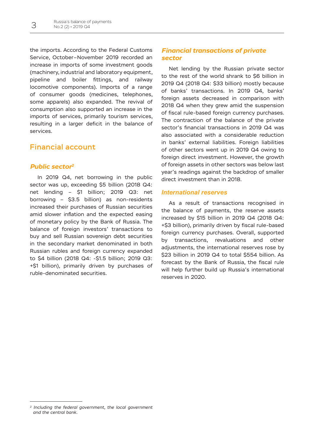the imports. According to the Federal Customs Service, October–November 2019 recorded an increase in imports of some investment goods (machinery, industrial and laboratory equipment, pipeline and boiler fittings, and railway locomotive components). Imports of a range of consumer goods (medicines, telephones, some apparels) also expanded. The revival of consumption also supported an increase in the imports of services, primarily tourism services, resulting in a larger deficit in the balance of services.

## Financial account

### *Public sector2*

In 2019 Q4, net borrowing in the public sector was up, exceeding \$5 billion (2018 Q4: net lending – \$1 billion; 2019 Q3: net borrowing – \$3.5 billion) as non-residents increased their purchases of Russian securities amid slower inflation and the expected easing of monetary policy by the Bank of Russia. The balance of foreign investors' transactions to buy and sell Russian sovereign debt securities in the secondary market denominated in both Russian rubles and foreign currency expanded to \$4 billion (2018 Q4: -\$1.5 billion; 2019 Q3: +\$1 billion), primarily driven by purchases of ruble-denominated securities.

## *Financial transactions of private sector*

Net lending by the Russian private sector to the rest of the world shrank to \$6 billion in 2019 Q4 (2018 Q4: \$33 billion) mostly because of banks' transactions. In 2019 Q4, banks' foreign assets decreased in comparison with 2018 Q4 when they grew amid the suspension of fiscal rule-based foreign currency purchases. The contraction of the balance of the private sector's financial transactions in 2019 Q4 was also associated with a considerable reduction in banks' external liabilities. Foreign liabilities of other sectors went up in 2019 Q4 owing to foreign direct investment. However, the growth of foreign assets in other sectors was below last year's readings against the backdrop of smaller direct investment than in 2018.

#### *International reserves*

As a result of transactions recognised in the balance of payments, the reserve assets increased by \$15 billion in 2019 Q4 (2018 Q4: +\$3 billion), primarily driven by fiscal rule-based foreign currency purchases. Overall, supported by transactions, revaluations and other adjustments, the international reserves rose by \$23 billion in 2019 Q4 to total \$554 billion. As forecast by the Bank of Russia, the fiscal rule will help further build up Russia's international reserves in 2020.

*<sup>2</sup> Including the federal government, the local government and the central bank.*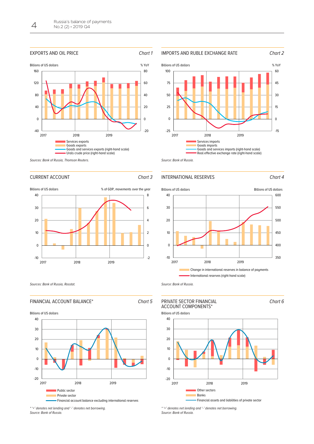



CURRENT ACCOUNT Chart 3



Source: Bank of Russia.

#### INTERNATIONAL RESERVES Chart 4









Source: Bank of Russia.



<sup>\* &#</sup>x27;+' denotes net lending and '-' denotes net borrowing. Source: Bank of Russia.



Financial assets and liabilities of private sector

\* '+' denotes net lending and '-' denotes net borrowing. Source: Bank of Russia.

Sources: Bank of Russia, Rosstat.

-10

0

10

20

30

40

## FINANCIAL ACCOUNT BALANCE\* Chart 5

-20 -10  $\Omega$ 10 20 30 40